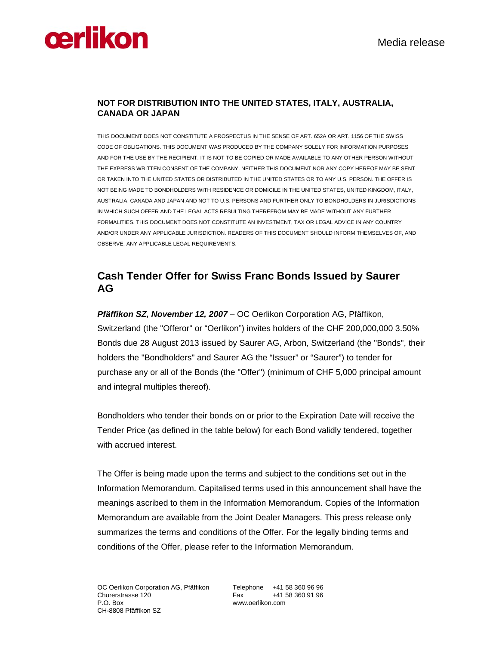# **Cerlikon** Media release

## **NOT FOR DISTRIBUTION INTO THE UNITED STATES, ITALY, AUSTRALIA, CANADA OR JAPAN**

THIS DOCUMENT DOES NOT CONSTITUTE A PROSPECTUS IN THE SENSE OF ART. 652A OR ART. 1156 OF THE SWISS CODE OF OBLIGATIONS. THIS DOCUMENT WAS PRODUCED BY THE COMPANY SOLELY FOR INFORMATION PURPOSES AND FOR THE USE BY THE RECIPIENT. IT IS NOT TO BE COPIED OR MADE AVAILABLE TO ANY OTHER PERSON WITHOUT THE EXPRESS WRITTEN CONSENT OF THE COMPANY. NEITHER THIS DOCUMENT NOR ANY COPY HEREOF MAY BE SENT OR TAKEN INTO THE UNITED STATES OR DISTRIBUTED IN THE UNITED STATES OR TO ANY U.S. PERSON. THE OFFER IS NOT BEING MADE TO BONDHOLDERS WITH RESIDENCE OR DOMICILE IN THE UNITED STATES, UNITED KINGDOM, ITALY, AUSTRALIA, CANADA AND JAPAN AND NOT TO U.S. PERSONS AND FURTHER ONLY TO BONDHOLDERS IN JURISDICTIONS IN WHICH SUCH OFFER AND THE LEGAL ACTS RESULTING THEREFROM MAY BE MADE WITHOUT ANY FURTHER FORMALITIES. THIS DOCUMENT DOES NOT CONSTITUTE AN INVESTMENT, TAX OR LEGAL ADVICE IN ANY COUNTRY AND/OR UNDER ANY APPLICABLE JURISDICTION. READERS OF THIS DOCUMENT SHOULD INFORM THEMSELVES OF, AND OBSERVE, ANY APPLICABLE LEGAL REQUIREMENTS.

## **Cash Tender Offer for Swiss Franc Bonds Issued by Saurer AG**

*Pfäffikon SZ, November 12, 2007* – OC Oerlikon Corporation AG, Pfäffikon, Switzerland (the "Offeror" or "Oerlikon") invites holders of the CHF 200,000,000 3.50% Bonds due 28 August 2013 issued by Saurer AG, Arbon, Switzerland (the "Bonds", their holders the "Bondholders" and Saurer AG the "Issuer" or "Saurer") to tender for purchase any or all of the Bonds (the "Offer") (minimum of CHF 5,000 principal amount and integral multiples thereof).

Bondholders who tender their bonds on or prior to the Expiration Date will receive the Tender Price (as defined in the table below) for each Bond validly tendered, together with accrued interest.

The Offer is being made upon the terms and subject to the conditions set out in the Information Memorandum. Capitalised terms used in this announcement shall have the meanings ascribed to them in the Information Memorandum. Copies of the Information Memorandum are available from the Joint Dealer Managers. This press release only summarizes the terms and conditions of the Offer. For the legally binding terms and conditions of the Offer, please refer to the Information Memorandum.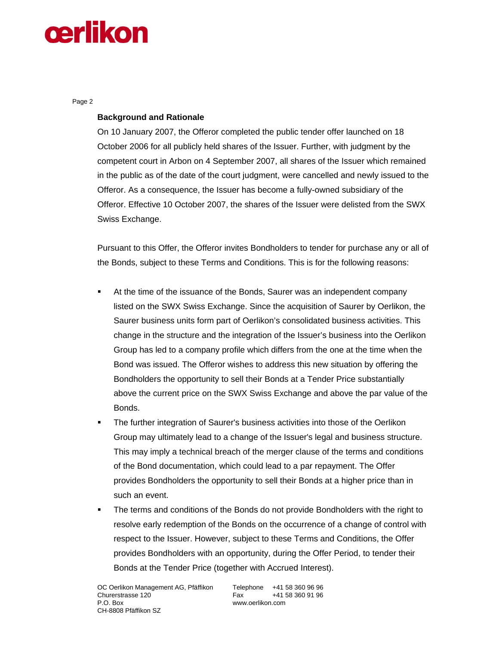## **cerlikon**

Page 2

### **Background and Rationale**

On 10 January 2007, the Offeror completed the public tender offer launched on 18 October 2006 for all publicly held shares of the Issuer. Further, with judgment by the competent court in Arbon on 4 September 2007, all shares of the Issuer which remained in the public as of the date of the court judgment, were cancelled and newly issued to the Offeror. As a consequence, the Issuer has become a fully-owned subsidiary of the Offeror. Effective 10 October 2007, the shares of the Issuer were delisted from the SWX Swiss Exchange.

Pursuant to this Offer, the Offeror invites Bondholders to tender for purchase any or all of the Bonds, subject to these Terms and Conditions. This is for the following reasons:

- At the time of the issuance of the Bonds, Saurer was an independent company listed on the SWX Swiss Exchange. Since the acquisition of Saurer by Oerlikon, the Saurer business units form part of Oerlikon's consolidated business activities. This change in the structure and the integration of the Issuer's business into the Oerlikon Group has led to a company profile which differs from the one at the time when the Bond was issued. The Offeror wishes to address this new situation by offering the Bondholders the opportunity to sell their Bonds at a Tender Price substantially above the current price on the SWX Swiss Exchange and above the par value of the Bonds.
- The further integration of Saurer's business activities into those of the Oerlikon Group may ultimately lead to a change of the Issuer's legal and business structure. This may imply a technical breach of the merger clause of the terms and conditions of the Bond documentation, which could lead to a par repayment. The Offer provides Bondholders the opportunity to sell their Bonds at a higher price than in such an event.
- The terms and conditions of the Bonds do not provide Bondholders with the right to resolve early redemption of the Bonds on the occurrence of a change of control with respect to the Issuer. However, subject to these Terms and Conditions, the Offer provides Bondholders with an opportunity, during the Offer Period, to tender their Bonds at the Tender Price (together with Accrued Interest).

www.oerlikon.com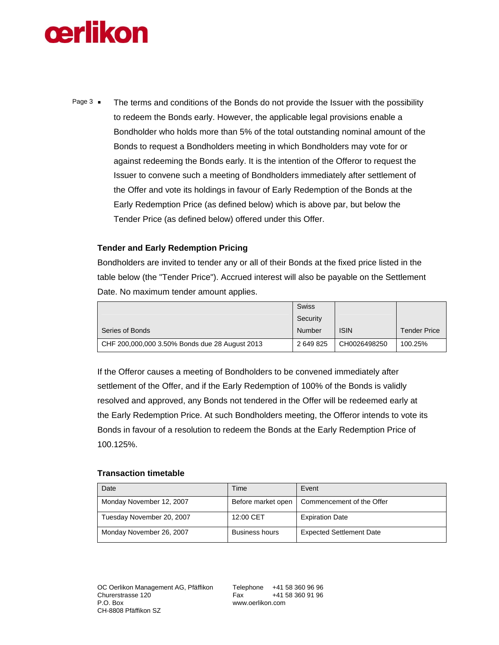

Page  $3 \bullet$  The terms and conditions of the Bonds do not provide the Issuer with the possibility to redeem the Bonds early. However, the applicable legal provisions enable a Bondholder who holds more than 5% of the total outstanding nominal amount of the Bonds to request a Bondholders meeting in which Bondholders may vote for or against redeeming the Bonds early. It is the intention of the Offeror to request the Issuer to convene such a meeting of Bondholders immediately after settlement of the Offer and vote its holdings in favour of Early Redemption of the Bonds at the Early Redemption Price (as defined below) which is above par, but below the Tender Price (as defined below) offered under this Offer.

## **Tender and Early Redemption Pricing**

Bondholders are invited to tender any or all of their Bonds at the fixed price listed in the table below (the "Tender Price"). Accrued interest will also be payable on the Settlement Date. No maximum tender amount applies.

|                                                | <b>Swiss</b> |              |                     |
|------------------------------------------------|--------------|--------------|---------------------|
|                                                | Security     |              |                     |
| Series of Bonds                                | Number       | <b>ISIN</b>  | <b>Tender Price</b> |
| CHF 200,000,000 3.50% Bonds due 28 August 2013 | 2 649 825    | CH0026498250 | 100.25%             |

If the Offeror causes a meeting of Bondholders to be convened immediately after settlement of the Offer, and if the Early Redemption of 100% of the Bonds is validly resolved and approved, any Bonds not tendered in the Offer will be redeemed early at the Early Redemption Price. At such Bondholders meeting, the Offeror intends to vote its Bonds in favour of a resolution to redeem the Bonds at the Early Redemption Price of 100.125%.

### **Transaction timetable**

| Date                      | Time                  | Event                           |
|---------------------------|-----------------------|---------------------------------|
| Monday November 12, 2007  | Before market open    | Commencement of the Offer       |
| Tuesday November 20, 2007 | 12:00 CET             | <b>Expiration Date</b>          |
| Monday November 26, 2007  | <b>Business hours</b> | <b>Expected Settlement Date</b> |

www.oerlikon.com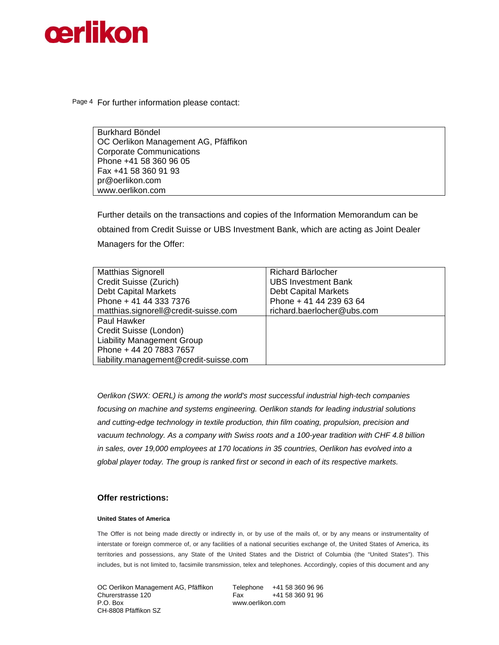

Page 4 For further information please contact:

Burkhard Böndel OC Oerlikon Management AG, Pfäffikon Corporate Communications Phone +41 58 360 96 05 Fax +41 58 360 91 93 pr@oerlikon.com www.oerlikon.com

Further details on the transactions and copies of the Information Memorandum can be obtained from Credit Suisse or UBS Investment Bank, which are acting as Joint Dealer Managers for the Offer:

| <b>Matthias Signorell</b>              | Richard Bärlocher           |
|----------------------------------------|-----------------------------|
| Credit Suisse (Zurich)                 | <b>UBS Investment Bank</b>  |
| <b>Debt Capital Markets</b>            | <b>Debt Capital Markets</b> |
| Phone + 41 44 333 7376                 | Phone + 41 44 239 63 64     |
| matthias.signorell@credit-suisse.com   | richard.baerlocher@ubs.com  |
| Paul Hawker                            |                             |
| Credit Suisse (London)                 |                             |
| <b>Liability Management Group</b>      |                             |
| Phone + 44 20 7883 7657                |                             |
| liability.management@credit-suisse.com |                             |

*Oerlikon (SWX: OERL) is among the world's most successful industrial high-tech companies focusing on machine and systems engineering. Oerlikon stands for leading industrial solutions and cutting-edge technology in textile production, thin film coating, propulsion, precision and vacuum technology. As a company with Swiss roots and a 100-year tradition with CHF 4.8 billion in sales, over 19,000 employees at 170 locations in 35 countries, Oerlikon has evolved into a global player today. The group is ranked first or second in each of its respective markets.* 

### **Offer restrictions:**

#### **United States of America**

The Offer is not being made directly or indirectly in, or by use of the mails of, or by any means or instrumentality of interstate or foreign commerce of, or any facilities of a national securities exchange of, the United States of America, its territories and possessions, any State of the United States and the District of Columbia (the "United States"). This includes, but is not limited to, facsimile transmission, telex and telephones. Accordingly, copies of this document and any

OC Oerlikon Management AG, Pfäffikon Telephone +41 58 360 96 96 Churerstrasse 120 Fax +41 58 360 91 96 P.O. Box www.oerlikon.com CH-8808 Pfäffikon SZ